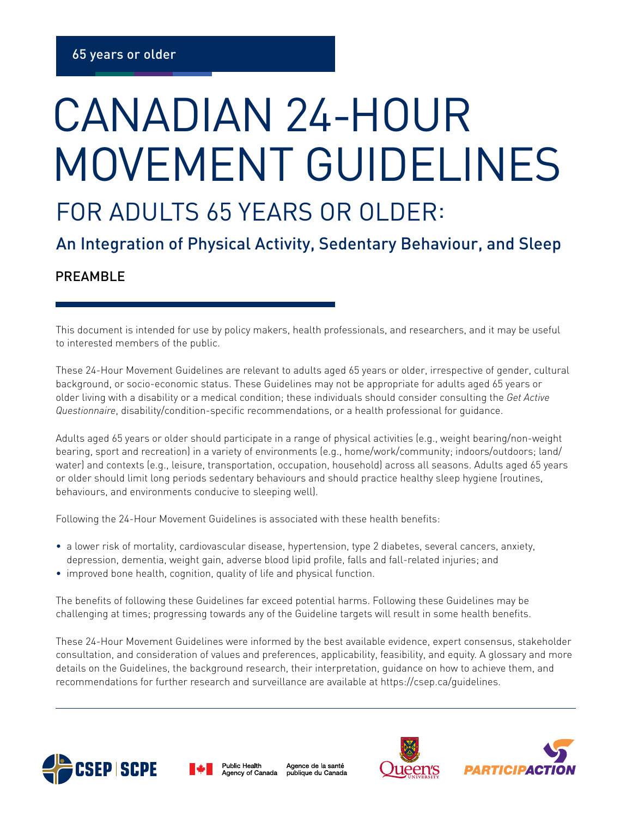## CANADIAN 24-HOUR MOVEMENT GUIDELINES

## FOR ADULTS 65 YEARS OR OLDER:

An Integration of Physical Activity, Sedentary Behaviour, and Sleep

## PREAMBLE

This document is intended for use by policy makers, health professionals, and researchers, and it may be useful to interested members of the public.

These 24-Hour Movement Guidelines are relevant to adults aged 65 years or older, irrespective of gender, cultural background, or socio-economic status. These Guidelines may not be appropriate for adults aged 65 years or older living with a disability or a medical condition; these individuals should consider consulting the *Get Active Questionnaire*, disability/condition-specific recommendations, or a health professional for guidance.

Adults aged 65 years or older should participate in a range of physical activities (e.g., weight bearing/non-weight bearing, sport and recreation) in a variety of environments (e.g., home/work/community; indoors/outdoors; land/ water) and contexts (e.g., leisure, transportation, occupation, household) across all seasons. Adults aged 65 years or older should limit long periods sedentary behaviours and should practice healthy sleep hygiene (routines, behaviours, and environments conducive to sleeping well).

Following the 24-Hour Movement Guidelines is associated with these health benefits:

- a lower risk of mortality, cardiovascular disease, hypertension, type 2 diabetes, several cancers, anxiety, depression, dementia, weight gain, adverse blood lipid profile, falls and fall-related injuries; and
- improved bone health, cognition, quality of life and physical function.

The benefits of following these Guidelines far exceed potential harms. Following these Guidelines may be challenging at times; progressing towards any of the Guideline targets will result in some health benefits.

These 24-Hour Movement Guidelines were informed by the best available evidence, expert consensus, stakeholder consultation, and consideration of values and preferences, applicability, feasibility, and equity. A glossary and more details on the Guidelines, the background research, their interpretation, guidance on how to achieve them, and recommendations for further research and surveillance are available at https://csep.ca/guidelines.





Agence de la santé publique du Canada